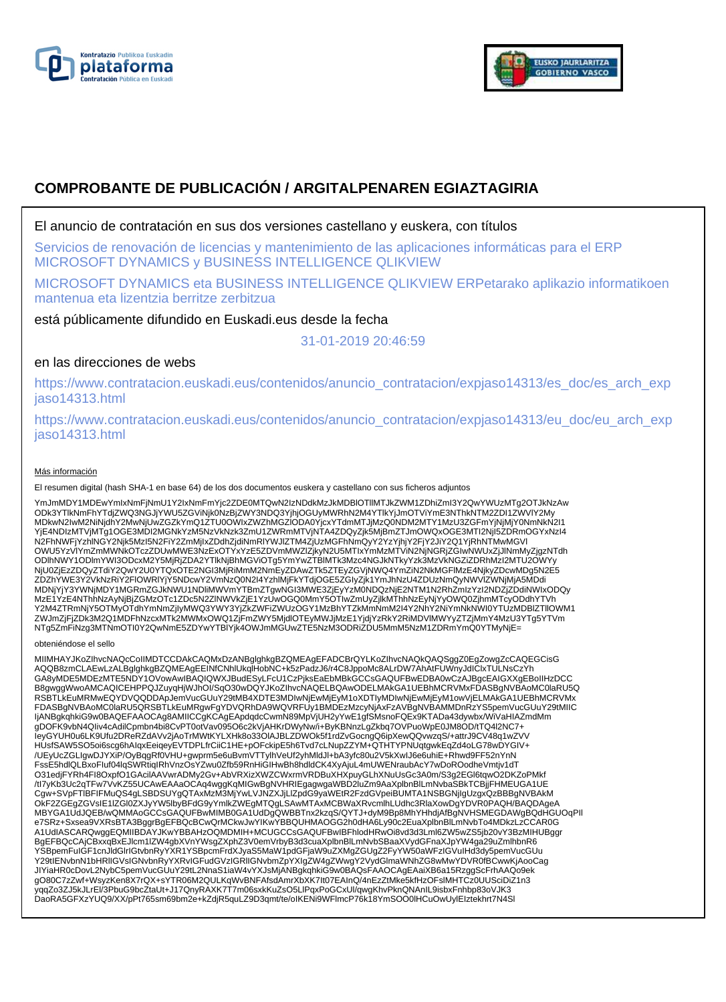



# **COMPROBANTE DE PUBLICACIÓN / ARGITALPENAREN EGIAZTAGIRIA**

El anuncio de contratación en sus dos versiones castellano y euskera, con títulos

Servicios de renovación de licencias y mantenimiento de las aplicaciones informáticas para el ERP MICROSOFT DYNAMICS y BUSINESS INTELLIGENCE QLIKVIEW

MICROSOFT DYNAMICS eta BUSINESS INTELLIGENCE QLIKVIEW ERPetarako aplikazio informatikoen mantenua eta lizentzia berritze zerbitzua

está públicamente difundido en Euskadi.eus desde la fecha

31-01-2019 20:46:59

# en las direcciones de webs

https://www.contratacion.euskadi.eus/contenidos/anuncio\_contratacion/expjaso14313/es\_doc/es\_arch\_exp jaso14313.html

https://www.contratacion.euskadi.eus/contenidos/anuncio\_contratacion/expjaso14313/eu\_doc/eu\_arch\_exp jaso14313.html

### Más información

El resumen digital (hash SHA-1 en base 64) de los dos documentos euskera y castellano con sus ficheros adjuntos

YmJmMDY1MDEwYmIxNmFjNmU1Y2IxNmFmYjc2ZDE0MTQwN2IzNDdkMzJkMDBlOTllMTJkZWM1ZDhiZmI3Y2QwYWUzMTg2OTJkNzAw ODk3YTlkNmFhYTdjZWQ3NGJjYWU5ZGViNjk0NzBjZWY3NDQ3YjhjOGUyMWRhN2M4YTlkYjJmOTViYmE3NThkNTM2ZDI1ZWVlY2My MDkwN2IwM2NiNjdhY2MwNjUwZGZkYmQ1ZTU0OWIxZWZhMGZIODA0YjcxYTdmMTJjMzQ0NDM2MTY1MzU3ZGFmYjNjMjY0NmNkN2I1<br>YjE4NDIzMTVjMTg1OGE3MDI2MGNkYzM5NzVkNzk3ZmU1ZWRmMTVjNTA4ZDQyZjk5MjBmZTJmOWQxOGE3MTI2NjI5ZDRmOGYxNzI4 N2FhNWFjYzhlNGY2Njk5MzI5N2FiY2ZmMjIxZDdhZjdiNmRlYWJlZTM4ZjUzMGFhNmQyY2YzYjhjY2FjY2JiY2Q1YjRhNTMwMGVl OWU5YzVlYmZmMWNkOTczZDUwMWE3NzExOTYxYzE5ZDVmMWZlZjkyN2U5MTIxYmMzMTViN2NjNGRjZGIwNWUxZjJlNmMyZjgzNTdh ODlhNWY1ODlmYWI3ODcxM2Y5MjRjZDA2YTlkNjBhMGViOTg5YmYwZTBlMTk3Mzc4NGJkNTkyYzk3MzVkNGZiZDRhMzI2MTU2OWYy NjU0ZjEzZDQyZTdiY2QwY2U0YTQxOTE2NGI3MjRiMmM2NmEyZDAwZTk5ZTEyZGVjNWQ4YmZiN2NkMGFlMzE4NjkyZDcwMDg5N2E5 ZDZhYWE3Y2VkNzRiY2FlOWRIYjY5NDcwY2VmNzQ0N2I4YzhlMjFkYTdjOGE5ZGlyZjk1YmJhNzU4ZDUzNmQyNWVlZWNjMjA5MDdi<br>MDNjYjY3YWNjMDY1MGRmZGJkNWU1NDliMWVmYTBmZTgwNGI3MWE3ZjEyYzM0NDQzNjE2NTM1N2RhZmlzYzI2NDZjZDdiNWIxODQy MzE1YzE4NThhNzAyNjBjZGMzOTc1ZDc5N2ZlNWVkZjE1YzUwOGQ0MmY5OTIwZmUyZjlkMThhNzEyNjYyOWQ0ZjhmMTcyODdhYTVh Y2M4ZTRmNjY5OTMyOTdhYmNmZjIyMWQ3YWY3YjZkZWFiZWUzOGY1MzBhYTZkMmNmM2I4Y2NhY2NiYmNkNWI0YTUzMDBlZTllOWM1 ZWJmZjFjZDk3M2Q1MDFhNzcxMTk2MWMxOWQ1ZjFmZWY5MjdlOTEyMWJjMzE1YjdjYzRkY2RiMDVlMWYyZTZjMmY4MzU3YTg5YTVm NTg5ZmFiNzg3MTNmOTI0Y2QwNmE5ZDYwYTBlYjk4OWJmMGUwZTE5NzM3ODRiZDU5MmM5NzM1ZDRmYmQ0YTMyNjE=

#### obteniéndose el sello

MIIMHAYJKoZIhvcNAQcCoIIMDTCCDAkCAQMxDzANBglghkgBZQMEAgEFADCBrQYLKoZIhvcNAQkQAQSggZ0EgZowgZcCAQEGCisG AQQB8zmCLAEwLzALBglghkgBZQMEAgEEINfCNhlUkqlHobNC+k5zPadzJ6/r4C8JppoMc8ALrDW7AhAtFUWnyJdIClxTULNsCzYh GA8yMDE5MDEzMTE5NDY1OVowAwIBAQIQWXJBudESyLFcU1CzPjksEaEbMBkGCCsGAQUFBwEDBA0wCzAJBgcEAIGXXgEBoIIHzDCC B8gwggWwoAMCAQICEHPPQJZuyqHjWJhOI/SqO30wDQYJKoZIhvcNAQELBQAwODELMAkGA1UEBhMCRVMxFDASBgNVBAoMC0laRU5Q RSBTLkEuMRMwEQYDVQQDDApJemVucGUuY29tMB4XDTE3MDIwNjEwMjEyM1oXDTIyMDIwNjEwMjEyM1owVjELMAkGA1UEBhMCRVMx FDASBgNVBAoMC0laRU5QRSBTLkEuMRgwFgYDVQRhDA9WQVRFUy1BMDEzMzcyNjAxFzAVBgNVBAMMDnRzYS5pemVucGUuY29tMIIC<br>IjANBgkqhkiG9w0BAQEFAAOCAg8AMIICCgKCAgEApdqdcCwmN89MpVjUH2yYwE1gfSMsnoFQEx9KTADa43dywbx/WiVaHIAZmdMm gDOFK9vbN4QIiv4cAdilCpmbn4bi8CvPT0otVav095O6c2kVjAHKrDWyNw/i+ByKBNnzLgZkbq7OVPuoWpE0JM8OD/tTQ4l2NC7+<br>IeyGYUH0u6LK9Ufu2DReRZdAVv2jAoTrMWtKYLXHk8o33OIAJBLZDWOk5f1rdZvGocngQ6ipXewQQvwzqS/+attrJ9CV48q1wZVV HUsfSAW5SO5oi6scg6hAIqxEeiqeyEVTDPLfrCiiC1HE+pOFckipE5h6Tvd7cLNupZZYM+QTHTYPNUqtgwkEqZd4oLG78wDYGIV+ /UEyUcZGLIgwDJYXiP/OyBqgRf0VHU+gwprm5e6uBvmVTTylhVeUf2yhMldJl+bA3yfc80u2V5kXwIJ6e6uhiE+Rhwd9FF52nYnN FssE5hdlQLBxoFIuf04lqSWRtiqIRhVnzOsYZwu0Zfb59RnHiGIHwBh8hdldCK4XyAjuL4mUWENraubAcY7wDoROodheVmtjv1dT O31edjFYRh4FI8OxpfO1GAcilAAVwrADMy2Gv+AbVRXizXWZCWxrmVRDBuXHXpuyGLhXNuUsGc3A0m/S3g2EGl6tqwO2DKZoPMkf /tl7yKb3Uc2qTFw7VvKZ55UCAwEAAaOCAq4wggKqMIGwBgNVHRIEgagwgaWBD2luZm9AaXplbnBlLmNvbaSBkTCBjjFHMEUGA1UE<br>Cgw+SVpFTlBFIFMuQS4gLSBDSUYgQTAxMzM3MjYwLVJNZXJjLlZpdG9yaWEtR2FzdGVpeiBUMTA1NSBGNjIgUzgxQzBBBgNVBAkM OkF2ZGEgZGVsIE1IZGl0ZXJyYW5lbyBFdG9yYmlkZWEgMTQgLSAwMTAxMCBWaXRvcmlhLUdhc3RlaXowDgYDVR0PAQH/BAQDAgeA<br>MBYGA1UdJQEB/wQMMAoGCCsGAQUFBwMIMB0GA1UdDgQWBBTnx2kzqS/QYTJ+dyM9Bp8MhYHhdjAfBgNVHSMEGDAWgBQdHGUOqPlI e7SRz+Sxsea9VXRsBTA3BggrBgEFBQcBCwQrMCkwJwYIKwYBBQUHMAOGG2h0dHA6Ly90c2EuaXplbnBlLmNvbTo4MDkzLzCCAR0G A1UdIASCARQwggEQMIIBDAYJKwYBBAHzOQMDMIH+MCUGCCsGAQUFBwIBFhlodHRwOi8vd3d3Lml6ZW5wZS5jb20vY3BzMIHUBggr BgEFBQcCAjCBxxqBxEJlcm1lZW4gbXVnYWsgZXphZ3V0emVrbyB3d3cuaXplbnBlLmNvbSBaaXVydGFnaXJpYW4ga29uZmlhbnR6 YSBpemFuIGF1cnJldGlrIGtvbnRyYXR1YSBpcmFrdXJyaS5MaW1pdGFjaW9uZXMgZGUgZ2FyYW50aWFzIGVuIHd3dy5pemVucGUu Y29tIENvbnN1bHRlIGVsIGNvbnRyYXRvIGFudGVzIGRlIGNvbmZpYXIgZW4gZWwgY2VydGlmaWNhZG8wMwYDVR0fBCwwKjAooCag JIYiaHR0cDovL2NybC5pemVucGUuY29tL2NnaS1iaW4vYXJsMjANBgkqhkiG9w0BAQsFAAOCAgEAaiXB6a15RzggScFrhAAQo9ek gO80C7zZwf+WsyzKen8X7rQX+sYTR06M2QULKqWvBNFAfsdAmrXbXK7It07EAInQ/4nEzZtMke5kfHzOFslMHTCz0UUSciDiZ1n3 yqqZo3ZJ5kJLrEl/3PbuG9bcZtaUt+J17QnyRAXK7T7m06sxkKuZsO5LlPqxPoGCxUl/qwgKhvPknQNAnIL9isbxFnhbp83oVJK3 DaoRA5GFXzYUQ9/XX/pPt765sm69bm2e+kZdjR5quLZ9D3qmt/te/oIKENi9WFlmcP76k18YmSOO0lHCuOwUylEIztekhrt7N4Sl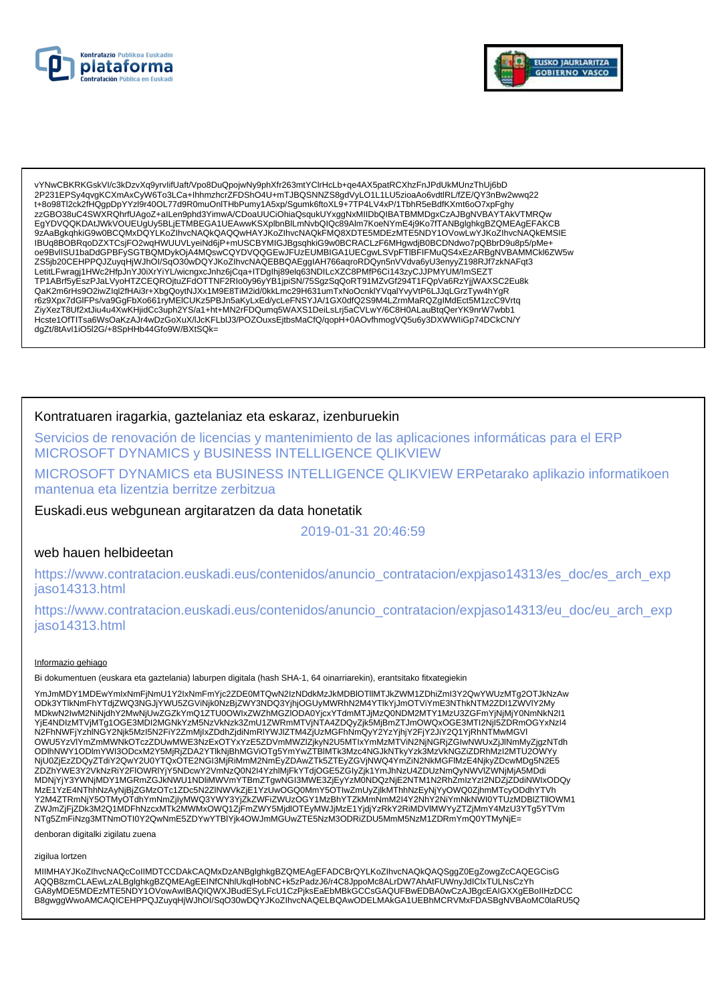



vYNwCBKRKGskVI/c3kDzvXq9yrvIifUaft/Vpo8DuQpojwNy9phXfr263mtYCIrHcLb+qe4AX5patRCXhzFnJPdUkMUnzThUj6bD<br>2P231EPSy4qvgKCXmAxCyW6To3LCa+IhhmzhcrZFDShO4U+mTJBQSNNZS8gdVyLO1L1LU5zioaAo6vdtlRL/fZE/QY3nBw2wwq22 t+8o98Tl2ck2fHQgpDpYYzI9r40OL77d9R0muOnITHbPumy1A5xp/Sgumk6ftoXL9+7TP4LV4xP/1TbhR5eBdfKXmt6oO7xpFghy zzGBO38uC4SWXRQhrfUAgoZ+alLen9phd3YimwA/CDoaUUCiOhiaQsqukUYxggNxMIIDbQIBATBMMDgxCzAJBgNVBAYTAkVTMRQw EgYDVQQKDAtJWkVOUEUgUy5BLjETMBEGA1UEAwwKSXplbnBlLmNvbQlQc89Alm7KoeNYmE4j9Ko7fTANBglghkgBZQMEAgEFAKCB 9zAaBgkqhkiG9w0BCQMxDQYLKoZlhvcNAQkQAQQwHAYJKoZlhvcNAQkFMQ8XDTE5MDEzMTE5NDY1OVowLwYJKoZlhvcNAQkEMSIE IBUq8BOBRqoDZXTCsjFO2wqHWUUVLyeiNd6jP+mUSCBYMIGJBgsqhkiG9w0BCRACLzF6MHgwdjB0BCDNdwo7pQBbrD9u8p5/pMe+<br>oe9BvlISU1baDdGPBFySGTBQMDykOjA4MQswCQYDVQQGEwJFUzEUMBIGA1UECgwLSVpFTIBFIFMuQS4xEzARBgNVBAMMCkl6ZW5w TP1ABrf5yEszPJaLVyoHTZCEQROjtuZFdOTTNF2RIo0y96yYB1jpiSN/75SgzSqQoRT91MZvGf294T1FQpVa6RzYjjWAXSC2Eu8k QaK2m6rHs9O2iwZiql2fHAi3r+XbgQoytNJXx1M9E8TiM2id/0kkLmc29H631umTxNoOcnklYVqalYvyVtP6LJJqLGrzTyw4hYgR r6z9Xpx7dGlFPs/va9GgFbXo661ryMEICUKz5PBJn5aKyLxEd/ycLeFNSYJA/1GX0dfQ2S9M4LZrmMaRQZglMdEct5M1zcC9Vrtq ZiyXezT8Uf2xtJiu4u4XwKHjidCc3uph2YS/a1+ht+MN2rFDQumq5WAXS1DeiLsLrj5aCVLwY/6C8H0ALauBtqQerYK9nrW7wbb1 Hcste1OfTITsa6WsOaKzAJr4wDzGoXuX/IJcKFLbIJ3/POZOuxsEjtbsMaCfQ/qopH+0AOvfhmogVQ5u6y3DXWWIiGp74DCkCN/Y dgZt/8tAvI1iO5l2G/+8SpHHb44Gfo9W/BXtSQk=

## Kontratuaren iragarkia, gaztelaniaz eta eskaraz, izenburuekin

Servicios de renovación de licencias y mantenimiento de las aplicaciones informáticas para el ERP MICROSOFT DYNAMICS y BUSINESS INTELLIGENCE QLIKVIEW

MICROSOFT DYNAMICS eta BUSINESS INTELLIGENCE QLIKVIEW ERPetarako aplikazio informatikoen mantenua eta lizentzia berritze zerbitzua

Euskadi.eus webgunean argitaratzen da data honetatik

### 2019-01-31 20:46:59

### web hauen helbideetan

https://www.contratacion.euskadi.eus/contenidos/anuncio\_contratacion/expjaso14313/es\_doc/es\_arch\_exp jaso14313.html

https://www.contratacion.euskadi.eus/contenidos/anuncio\_contratacion/expjaso14313/eu\_doc/eu\_arch\_exp iaso14313.html

#### Informazio gehiago

Bi dokumentuen (euskara eta gaztelania) laburpen digitala (hash SHA-1, 64 oinarriarekin), erantsitako fitxategiekin

YmJmMDY1MDEwYmlxNmFjNmU1Y2lxNmFmYjc2ZDE0MTQwN2IzNDdkMzJkMDBIOTIIMTJkZWM1ZDhiZmI3Y2QwYWUzMTg2OTJkNzAw ODk3YTlkNmFhYTdjZWQ3NGJjYWU5ZGViNjk0NzBjZWY3NDQ3YjhjOGUyMWRhN2M4YTlkYjJmOTViYmE3NThkNTM2ZDI1ZWVIY2My<br>MDkwN2IwM2NiNjdhY2MwNjUwZGZkYmQ1ZTU0OWIxZWZhMGZIODA0YjcxYTdmMTJjMzQ0NDM2MTY1MzU3ZGFmYjNjMjY0NmNkN2I1 wiewierzym z miestarzy w zastawienia z zachodzienia względnie przykładowe w przezowanie w przez wodzienie w prz<br>YjE4NDIzMTVjMTg1OGE3MDI2MGNkYzM5NzVkNzk3ZmU1ZWRmMTVjNTA4ZDQyZjk5MjBmZTJmOWQxOGE3MTI2Njl5ZDRmOGYxNzI4<br>N2FhNWFjY OWU5YzVIYmZmMWNkOTczZDUwMWE3NzExOTYxYzE5ZDVmMWZIZjkyN2U5MTIxYmMzMTViN2NjNGRjZGlwNWUxZjJlNmMyZjgzNTdh ODIhNWY1ODImYWI3ODcxM2Y5MjRjZDA2YTlkNjBhMGViOTg5YmYwZTBIMTk3Mzc4NGJkNTkyYzk3MzVKNGZiZDRhMzI2MTU2OWYy NjU0ZjEzZDQyZTdiY2QwY2U0YTQxOTE2NGI3MjRiMmM2NmEyZDAwZTk5ZTEyZGVjNWQ4YmZiN2NkMGFIMzE4NjkyZDcwMDg5N2E5 ZDZhYWE3Y2VkNzRiY2FlOWRIYjY5NDcwY2VmNzQ0N2I4YzhlMjFkYTdjOGE5ZGlyZjk1YmJhNzU4ZDUzNmQyNWVIZWNjMjA5MDdi MDNjYjY3YWNjMDY1MGRmZGJkNWU1NDliMWVmYTBmZTgwNGI3MWE3ZjEyYzM0NDQzNjE2NTM1N2RhZmlzYzI2NDZjZDdiNWIxODQy<br>MzE1YzE4NThhNzAyNjBjZGMzOTc1ZDc5N2ZINWVkZjE1YzUwOGQ0MmY5OTIwZmUyZjlkMThhNzEyNjYyOWQ0ZjhmMTcyODdhYTVh w.c. + rzestwomnieżnynyczonie w czystowanie w konstruktu w miestowanie w miestowyszeczych w w wodynalne w miestowy<br>Y2M4ZTRmNjY5OTMyOTdhYmNmZjlyMWQ3YWY3YjZkZWFiZWUzOGY1MzBhYTZkMmNmM2l4Y2NhY2NiYmNkNWl0YTUzMDBIZTllOWM1<br>ZWJmZj NTg5ZmFiNzg3MTNmOTI0Y2QwNmE5ZDYwYTBIYjk4OWJmMGUwZTE5NzM3ODRiZDU5MmM5NzM1ZDRmYmQ0YTMyNjE=

denboran digitalki zigilatu zuena

zigilua lortzen

MIIMHAYJKoZIhvcNAQcCoIIMDTCCDAkCAQMxDzANBglghkgBZQMEAgEFADCBrQYLKoZIhvcNAQkQAQSggZ0EgZowgZcCAQEGCisG AQQB8zmCLAEwLzALBglghkgBZQMEAgEEINfCNhlUkqiHobNC+k5zPadzJ6/r4C8JppoMc8ALrDW7AhAtFUWnyJdIClxTULNsCzYh GA8yMDE5MDEzMTE5NDY1OVowAwIBAQIQWXJBudESyLFcU1CzPjksEaEbMBkGCCsGAQUFBwEDBA0wCzAJBgcEAIGXXgEBoIIHzDCC B8gwggWwoAMCAQICEHPPQJZuyqHjWJhOI/SqO30wDQYJKoZIhvcNAQELBQAwODELMAkGA1UEBhMCRVMxFDASBgNVBAoMC0laRU5Q